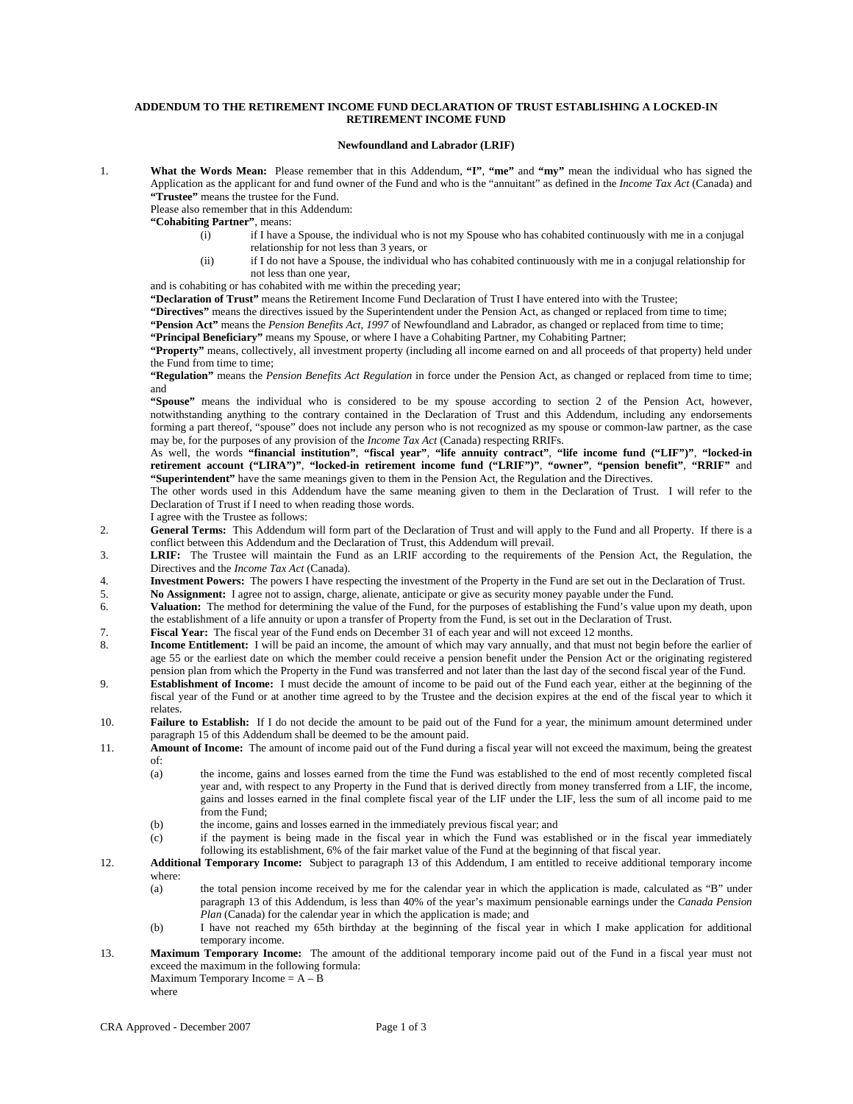## **ADDENDUM TO THE RETIREMENT INCOME FUND DECLARATION OF TRUST ESTABLISHING A LOCKED-IN RETIREMENT INCOME FUND**

## **Newfoundland and Labrador (LRIF)**

1. **What the Words Mean:** Please remember that in this Addendum, **"I"**, **"me"** and **"my"** mean the individual who has signed the Application as the applicant for and fund owner of the Fund and who is the "annuitant" as defined in the *Income Tax Act* (Canada) and **"Trustee"** means the trustee for the Fund.

Please also remember that in this Addendum:

- **"Cohabiting Partner"**, means:
	- (i) if I have a Spouse, the individual who is not my Spouse who has cohabited continuously with me in a conjugal relationship for not less than 3 years, or
	- (ii) if I do not have a Spouse, the individual who has cohabited continuously with me in a conjugal relationship for not less than one year,

and is cohabiting or has cohabited with me within the preceding year;

**"Declaration of Trust"** means the Retirement Income Fund Declaration of Trust I have entered into with the Trustee;

**"Directives"** means the directives issued by the Superintendent under the Pension Act, as changed or replaced from time to time;

**"Pension Act"** means the *Pension Benefits Act, 1997* of Newfoundland and Labrador, as changed or replaced from time to time;

**"Principal Beneficiary"** means my Spouse, or where I have a Cohabiting Partner, my Cohabiting Partner;

**"Property"** means, collectively, all investment property (including all income earned on and all proceeds of that property) held under the Fund from time to time;

**"Regulation"** means the *Pension Benefits Act Regulation* in force under the Pension Act, as changed or replaced from time to time; and

**"Spouse"** means the individual who is considered to be my spouse according to section 2 of the Pension Act, however, notwithstanding anything to the contrary contained in the Declaration of Trust and this Addendum, including any endorsements forming a part thereof, "spouse" does not include any person who is not recognized as my spouse or common-law partner, as the case may be, for the purposes of any provision of the *Income Tax Act* (Canada) respecting RRIFs.

As well, the words **"financial institution"**, **"fiscal year"**, **"life annuity contract"**, **"life income fund ("LIF")"**, **"locked-in retirement account ("LIRA")"**, **"locked-in retirement income fund ("LRIF")"**, **"owner"**, **"pension benefit"**, **"RRIF"** and **"Superintendent"** have the same meanings given to them in the Pension Act, the Regulation and the Directives.

The other words used in this Addendum have the same meaning given to them in the Declaration of Trust. I will refer to the Declaration of Trust if I need to when reading those words.

I agree with the Trustee as follows:

- 2. **General Terms:** This Addendum will form part of the Declaration of Trust and will apply to the Fund and all Property. If there is a conflict between this Addendum and the Declaration of Trust, this Addendum will prevail.
- 3. **LRIF:** The Trustee will maintain the Fund as an LRIF according to the requirements of the Pension Act, the Regulation, the Directives and the *Income Tax Act* (Canada).
- 4. **Investment Powers:** The powers I have respecting the investment of the Property in the Fund are set out in the Declaration of Trust.
- 5. **No Assignment:** I agree not to assign, charge, alienate, anticipate or give as security money payable under the Fund.
- 6. **Valuation:** The method for determining the value of the Fund, for the purposes of establishing the Fund's value upon my death, upon the establishment of a life annuity or upon a transfer of Property from the Fund, is set out in the Declaration of Trust.
- 7. **Fiscal Year:** The fiscal year of the Fund ends on December 31 of each year and will not exceed 12 months.
- 8. **Income Entitlement:** I will be paid an income, the amount of which may vary annually, and that must not begin before the earlier of age 55 or the earliest date on which the member could receive a pension benefit under the Pension Act or the originating registered pension plan from which the Property in the Fund was transferred and not later than the last day of the second fiscal year of the Fund.
- 9. **Establishment of Income:** I must decide the amount of income to be paid out of the Fund each year, either at the beginning of the fiscal year of the Fund or at another time agreed to by the Trustee and the decision expires at the end of the fiscal year to which it relates.
- 10. **Failure to Establish:** If I do not decide the amount to be paid out of the Fund for a year, the minimum amount determined under paragraph 15 of this Addendum shall be deemed to be the amount paid.
- 11. **Amount of Income:** The amount of income paid out of the Fund during a fiscal year will not exceed the maximum, being the greatest of:
	- the income, gains and losses earned from the time the Fund was established to the end of most recently completed fiscal year and, with respect to any Property in the Fund that is derived directly from money transferred from a LIF, the income, gains and losses earned in the final complete fiscal year of the LIF under the LIF, less the sum of all income paid to me from the Fund;
	- (b) the income, gains and losses earned in the immediately previous fiscal year; and
	- (c) if the payment is being made in the fiscal year in which the Fund was established or in the fiscal year immediately following its establishment, 6% of the fair market value of the Fund at the beginning of that fiscal year.
- 12. **Additional Temporary Income:** Subject to paragraph 13 of this Addendum, I am entitled to receive additional temporary income where:
	- (a) the total pension income received by me for the calendar year in which the application is made, calculated as "B" under paragraph 13 of this Addendum, is less than 40% of the year's maximum pensionable earnings under the *Canada Pension Plan* (Canada) for the calendar year in which the application is made; and
	- (b) I have not reached my 65th birthday at the beginning of the fiscal year in which I make application for additional temporary income.
- 13. **Maximum Temporary Income:** The amount of the additional temporary income paid out of the Fund in a fiscal year must not exceed the maximum in the following formula:
	- Maximum Temporary Income  $= A B$ where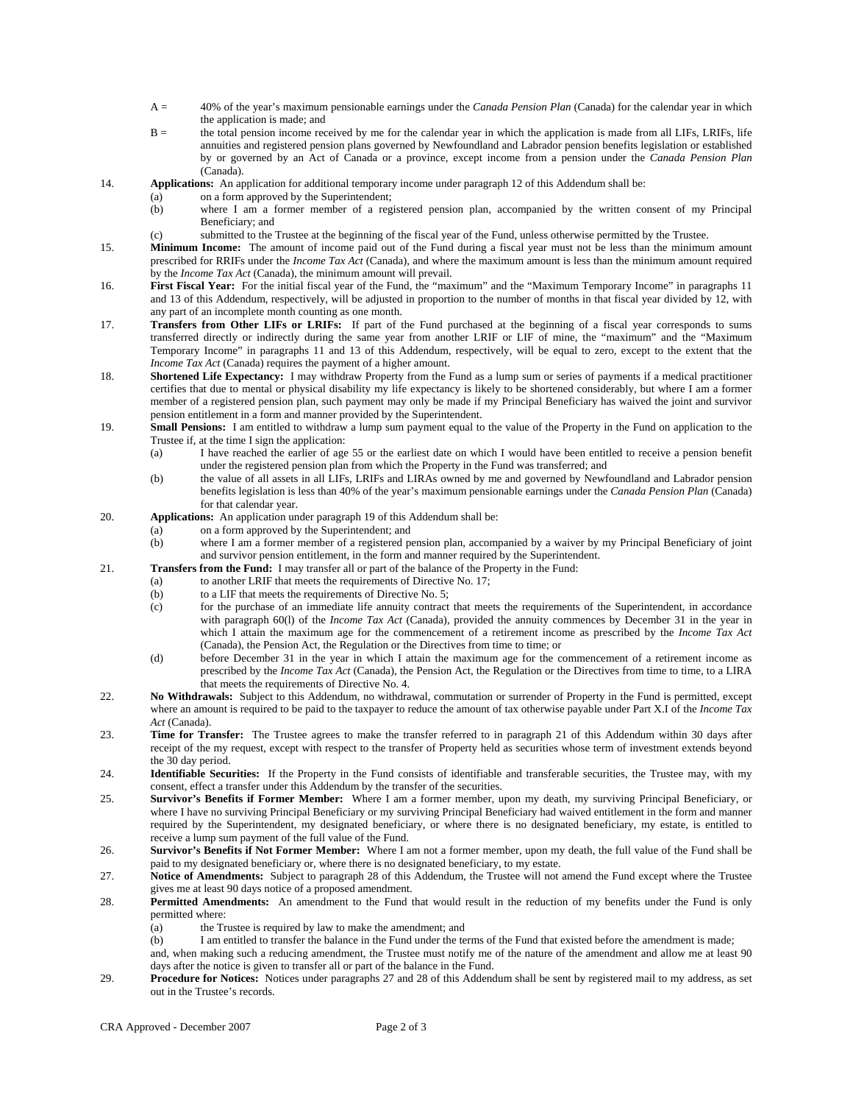- A = 40% of the year's maximum pensionable earnings under the *Canada Pension Plan* (Canada) for the calendar year in which the application is made; and
- B = the total pension income received by me for the calendar year in which the application is made from all LIFs, LRIFs, life annuities and registered pension plans governed by Newfoundland and Labrador pension benefits legislation or established by or governed by an Act of Canada or a province, except income from a pension under the *Canada Pension Plan* (Canada).
- 14. **Applications:** An application for additional temporary income under paragraph 12 of this Addendum shall be:
	- (a) on a form approved by the Superintendent;
		- (b) where I am a former member of a registered pension plan, accompanied by the written consent of my Principal Beneficiary; and
		- (c) submitted to the Trustee at the beginning of the fiscal year of the Fund, unless otherwise permitted by the Trustee.
- 15. **Minimum Income:** The amount of income paid out of the Fund during a fiscal year must not be less than the minimum amount prescribed for RRIFs under the *Income Tax Act* (Canada), and where the maximum amount is less than the minimum amount required by the *Income Tax Act* (Canada), the minimum amount will prevail.
- 16. **First Fiscal Year:** For the initial fiscal year of the Fund, the "maximum" and the "Maximum Temporary Income" in paragraphs 11 and 13 of this Addendum, respectively, will be adjusted in proportion to the number of months in that fiscal year divided by 12, with any part of an incomplete month counting as one month.
- 17. **Transfers from Other LIFs or LRIFs:** If part of the Fund purchased at the beginning of a fiscal year corresponds to sums transferred directly or indirectly during the same year from another LRIF or LIF of mine, the "maximum" and the "Maximum Temporary Income" in paragraphs 11 and 13 of this Addendum, respectively, will be equal to zero, except to the extent that the *Income Tax Act* (Canada) requires the payment of a higher amount.
- 18. **Shortened Life Expectancy:** I may withdraw Property from the Fund as a lump sum or series of payments if a medical practitioner certifies that due to mental or physical disability my life expectancy is likely to be shortened considerably, but where I am a former member of a registered pension plan, such payment may only be made if my Principal Beneficiary has waived the joint and survivor pension entitlement in a form and manner provided by the Superintendent.
- 19. **Small Pensions:** I am entitled to withdraw a lump sum payment equal to the value of the Property in the Fund on application to the Trustee if, at the time I sign the application:
	- (a) I have reached the earlier of age 55 or the earliest date on which I would have been entitled to receive a pension benefit under the registered pension plan from which the Property in the Fund was transferred; and
	- (b) the value of all assets in all LIFs, LRIFs and LIRAs owned by me and governed by Newfoundland and Labrador pension benefits legislation is less than 40% of the year's maximum pensionable earnings under the *Canada Pension Plan* (Canada) for that calendar year.
- 20. **Applications:** An application under paragraph 19 of this Addendum shall be:
	- (a) on a form approved by the Superintendent; and
	- (b) where I am a former member of a registered pension plan, accompanied by a waiver by my Principal Beneficiary of joint and survivor pension entitlement, in the form and manner required by the Superintendent.
- 21. **Transfers from the Fund:** I may transfer all or part of the balance of the Property in the Fund:
	- (a) to another LRIF that meets the requirements of Directive No. 17;
	- (b) to a LIF that meets the requirements of Directive No. 5;
	- (c) for the purchase of an immediate life annuity contract that meets the requirements of the Superintendent, in accordance with paragraph 60(l) of the *Income Tax Act* (Canada), provided the annuity commences by December 31 in the year in which I attain the maximum age for the commencement of a retirement income as prescribed by the *Income Tax Act* (Canada), the Pension Act, the Regulation or the Directives from time to time; or
	- (d) before December 31 in the year in which I attain the maximum age for the commencement of a retirement income as prescribed by the *Income Tax Act* (Canada), the Pension Act, the Regulation or the Directives from time to time, to a LIRA that meets the requirements of Directive No. 4.
- 22. **No Withdrawals:** Subject to this Addendum, no withdrawal, commutation or surrender of Property in the Fund is permitted, except where an amount is required to be paid to the taxpayer to reduce the amount of tax otherwise payable under Part X.I of the *Income Tax Act* (Canada).
- 23. **Time for Transfer:** The Trustee agrees to make the transfer referred to in paragraph 21 of this Addendum within 30 days after receipt of the my request, except with respect to the transfer of Property held as securities whose term of investment extends beyond the 30 day period.
- 24. **Identifiable Securities:** If the Property in the Fund consists of identifiable and transferable securities, the Trustee may, with my consent, effect a transfer under this Addendum by the transfer of the securities.
- 25. **Survivor's Benefits if Former Member:** Where I am a former member, upon my death, my surviving Principal Beneficiary, or where I have no surviving Principal Beneficiary or my surviving Principal Beneficiary had waived entitlement in the form and manner required by the Superintendent, my designated beneficiary, or where there is no designated beneficiary, my estate, is entitled to receive a lump sum payment of the full value of the Fund.
- 26. **Survivor's Benefits if Not Former Member:** Where I am not a former member, upon my death, the full value of the Fund shall be paid to my designated beneficiary or, where there is no designated beneficiary, to my estate.
- 27. **Notice of Amendments:** Subject to paragraph 28 of this Addendum, the Trustee will not amend the Fund except where the Trustee gives me at least 90 days notice of a proposed amendment.
- 28. **Permitted Amendments:** An amendment to the Fund that would result in the reduction of my benefits under the Fund is only permitted where:
	- (a) the Trustee is required by law to make the amendment; and
	- (b) I am entitled to transfer the balance in the Fund under the terms of the Fund that existed before the amendment is made;
	- and, when making such a reducing amendment, the Trustee must notify me of the nature of the amendment and allow me at least 90 days after the notice is given to transfer all or part of the balance in the Fund.
- 29. **Procedure for Notices:** Notices under paragraphs 27 and 28 of this Addendum shall be sent by registered mail to my address, as set out in the Trustee's records.